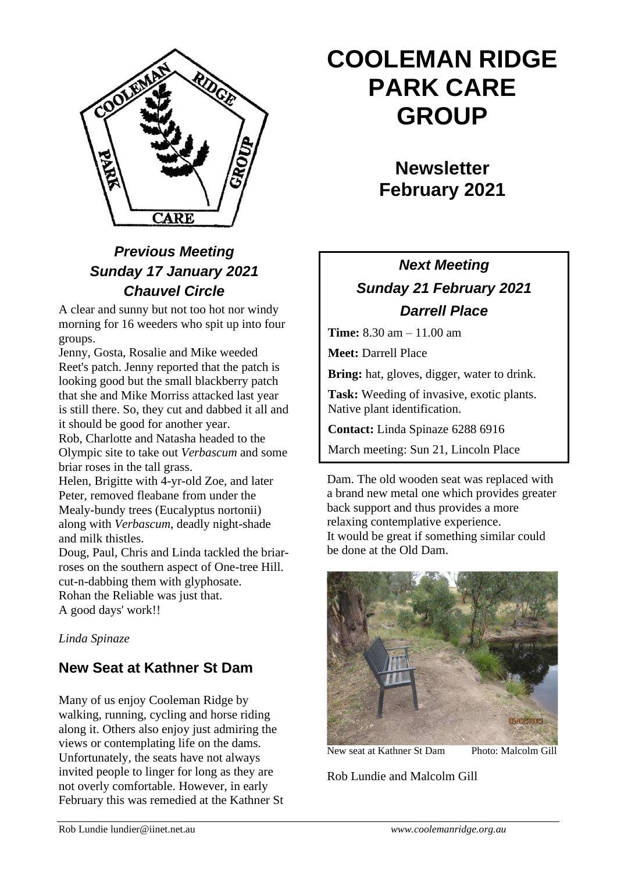

# *Previous Meeting Sunday 17 January 2021 Chauvel Circle*

A clear and sunny but not too hot nor windy morning for 16 weeders who spit up into four groups.

Jenny, Gosta, Rosalie and Mike weeded Reet's patch. Jenny reported that the patch is looking good but the small blackberry patch that she and Mike Morriss attacked last year is still there. So, they cut and dabbed it all and it should be good for another year.

Rob, Charlotte and Natasha headed to the Olympic site to take out *Verbascum* and some briar roses in the tall grass.

Helen, Brigitte with 4-yr-old Zoe, and later Peter, removed fleabane from under the Mealy-bundy trees (Eucalyptus nortonii) along with *Verbascum*, deadly night-shade and milk thistles.

Doug, Paul, Chris and Linda tackled the briarroses on the southern aspect of One-tree Hill. cut-n-dabbing them with glyphosate. Rohan the Reliable was just that. A good days' work!!

*Linda Spinaze*

#### **New Seat at Kathner St Dam**

Many of us enjoy Cooleman Ridge by walking, running, cycling and horse riding along it. Others also enjoy just admiring the views or contemplating life on the dams. Unfortunately, the seats have not always invited people to linger for long as they are not overly comfortable. However, in early February this was remedied at the Kathner St

# **COOLEMAN RIDGE PARK CARE GROUP**

**Newsletter February 2021**

# *Next Meeting Sunday 21 February 2021 Darrell Place*

**Time:** 8.30 am – 11.00 am

**Meet:** Darrell Place

**Bring:** hat, gloves, digger, water to drink.

**Task:** Weeding of invasive, exotic plants. Native plant identification.

**Contact:** Linda Spinaze 6288 6916

March meeting: Sun 21, Lincoln Place

Dam. The old wooden seat was replaced with a brand new metal one which provides greater back support and thus provides a more relaxing contemplative experience. It would be great if something similar could be done at the Old Dam.



New seat at Kathner St Dam Photo: Malcolm Gill

Rob Lundie and Malcolm Gill